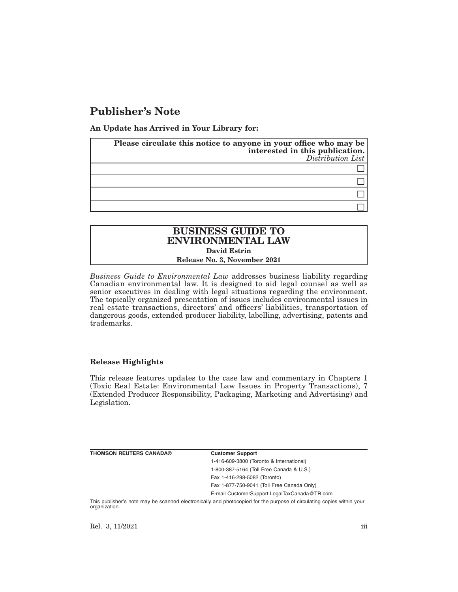# **Publisher's Note**

**An Update has Arrived in Your Library for:**

| Please circulate this notice to anyone in your office who may be<br>interested in this publication.<br>Distribution List |
|--------------------------------------------------------------------------------------------------------------------------|
|                                                                                                                          |
|                                                                                                                          |
|                                                                                                                          |
|                                                                                                                          |

## **BUSINESS GUIDE TO ENVIRONMENTAL LAW David Estrin Release No. 3, November 2021**

*Business Guide to Environmental Law* addresses business liability regarding Canadian environmental law. It is designed to aid legal counsel as well as senior executives in dealing with legal situations regarding the environment. The topically organized presentation of issues includes environmental issues in real estate transactions, directors' and officers' liabilities, transportation of dangerous goods, extended producer liability, labelling, advertising, patents and trademarks.

## **Release Highlights**

This release features updates to the case law and commentary in Chapters 1 (Toxic Real Estate: Environmental Law Issues in Property Transactions), 7 (Extended Producer Responsibility, Packaging, Marketing and Advertising) and Legislation.

**THOMSON REUTERS CANADA® Customer Support**

1-416-609-3800 (Toronto & International) 1-800-387-5164 (Toll Free Canada & U.S.) Fax 1-416-298-5082 (Toronto)

Fax 1-877-750-9041 (Toll Free Canada Only)

E-mail CustomerSupport.LegalTaxCanada@TR.com

This publisher's note may be scanned electronically and photocopied for the purpose of circulating copies within your organization.

Rel. 3, 11/2021 iii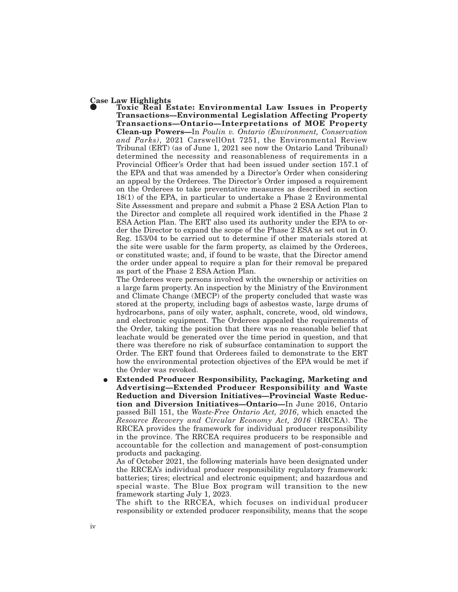### **Case Law Highlights**

E **Toxic Real Estate: Environmental Law Issues in Property Transactions—Environmental Legislation Affecting Property Transactions—Ontario—Interpretations of MOE Property Clean-up Powers—**In *Poulin v. Ontario (Environment, Conservation and Parks)*, 2021 CarswellOnt 7251, the Environmental Review Tribunal (ERT) (as of June 1, 2021 see now the Ontario Land Tribunal) determined the necessity and reasonableness of requirements in a Provincial Officer's Order that had been issued under section 157.1 of the EPA and that was amended by a Director's Order when considering an appeal by the Orderees. The Director's Order imposed a requirement on the Orderees to take preventative measures as described in section 18(1) of the EPA, in particular to undertake a Phase 2 Environmental Site Assessment and prepare and submit a Phase 2 ESA Action Plan to the Director and complete all required work identified in the Phase 2 ESA Action Plan. The ERT also used its authority under the EPA to order the Director to expand the scope of the Phase 2 ESA as set out in O. Reg. 153/04 to be carried out to determine if other materials stored at the site were usable for the farm property, as claimed by the Orderees, or constituted waste; and, if found to be waste, that the Director amend the order under appeal to require a plan for their removal be prepared as part of the Phase 2 ESA Action Plan.

The Orderees were persons involved with the ownership or activities on a large farm property. An inspection by the Ministry of the Environment and Climate Change (MECP) of the property concluded that waste was stored at the property, including bags of asbestos waste, large drums of hydrocarbons, pans of oily water, asphalt, concrete, wood, old windows, and electronic equipment. The Orderees appealed the requirements of the Order, taking the position that there was no reasonable belief that leachate would be generated over the time period in question, and that there was therefore no risk of subsurface contamination to support the Order. The ERT found that Orderees failed to demonstrate to the ERT how the environmental protection objectives of the EPA would be met if the Order was revoked.

E **Extended Producer Responsibility, Packaging, Marketing and Advertising—Extended Producer Responsibility and Waste Reduction and Diversion Initiatives—Provincial Waste Reduction and Diversion Initiatives—Ontario—**In June 2016, Ontario passed Bill 151, the *Waste-Free Ontario Act, 2016*, which enacted the *Resource Recovery and Circular Economy Act, 2016* (RRCEA). The RRCEA provides the framework for individual producer responsibility in the province. The RRCEA requires producers to be responsible and accountable for the collection and management of post-consumption products and packaging.

As of October 2021, the following materials have been designated under the RRCEA's individual producer responsibility regulatory framework: batteries; tires; electrical and electronic equipment; and hazardous and special waste. The Blue Box program will transition to the new framework starting July 1, 2023.

The shift to the RRCEA, which focuses on individual producer responsibility or extended producer responsibility, means that the scope